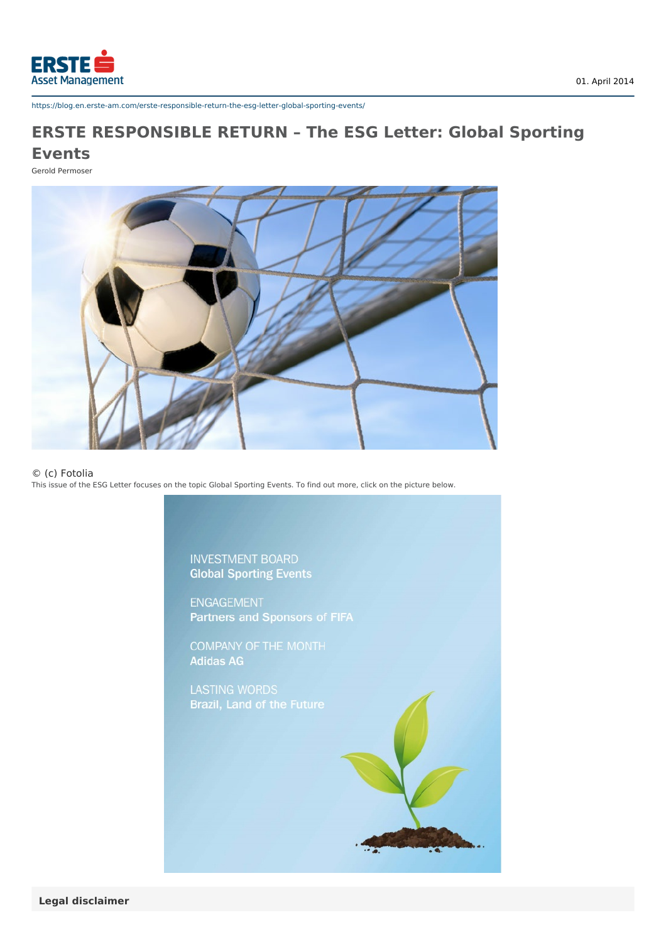

https://blog.en.erste-am.com/erste-responsible-return-the-esg-letter-global-sporting-events/

## **ERSTE RESPONSIBLE RETURN – The ESG Letter: Global Sporting Events**

Gerold Permoser



## © (c) Fotolia

This issue of the ESG Letter focuses on the topic Global Sporting Events. To find out more, click on the picture below.

**INVESTMENT BOARD Global Sporting Events** 

**ENGAGEMENT** Partners and Sponsors of FIFA

COMPANY OF THE MONTH **Adidas AG**